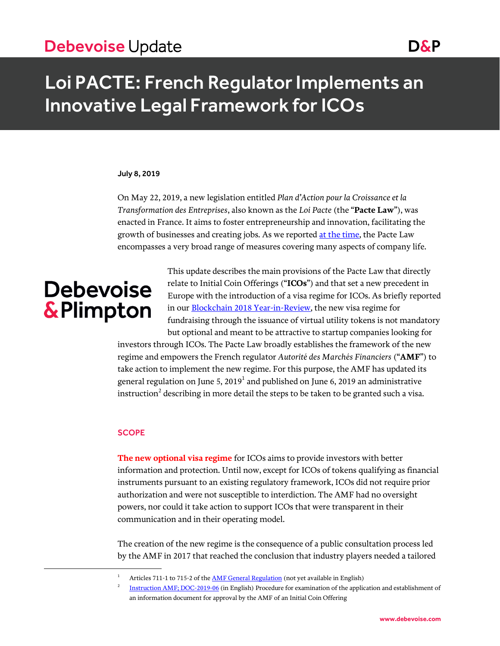# Debevoise Update Domain Contract and Dans

# Loi PACTE: French Regulator Implements an Innovative Legal Framework for ICOs

#### July 8, 2019

On May 22, 2019, a new legislation entitled *Plan d'Action pour la Croissance et la Transformation des Entreprises*, also known as the *Loi Pacte* (the "**Pacte Law**"), was enacted in France. It aims to foster entrepreneurship and innovation, facilitating the growth of businesses and creating jobs. As we reported [at the time,](https://www.debevoise.com/insights/publications/2019/05/loi-pacte-ambitious-reform-to-improve-business) the Pacte Law encompasses a very broad range of measures covering many aspects of company life.

# **Debevoise** & Plimpton

 $\overline{a}$ 

This update describes the main provisions of the Pacte Law that directly relate to Initial Coin Offerings ("**ICOs**") and that set a new precedent in Europe with the introduction of a visa regime for ICOs. As briefly reported in our **Blockchain 2018 Year-in-Review**, the new visa regime for fundraising through the issuance of virtual utility tokens is not mandatory but optional and meant to be attractive to startup companies looking for

investors through ICOs. The Pacte Law broadly establishes the framework of the new regime and empowers the French regulator *Autorité des Marchés Financiers* ("**AMF**") to take action to implement the new regime. For this purpose, the AMF has updated its general regulation on June 5, 2019 $^{\rm l}$  and published on June 6, 2019 an administrative instruction $^2$  describing in more detail the steps to be taken to be granted such a visa.

### **SCOPE**

**The new optional visa regime** for ICOs aims to provide investors with better information and protection. Until now, except for ICOs of tokens qualifying as financial instruments pursuant to an existing regulatory framework, ICOs did not require prior authorization and were not susceptible to interdiction. The AMF had no oversight powers, nor could it take action to support ICOs that were transparent in their communication and in their operating model.

The creation of the new regime is the consequence of a public consultation process led by the AMF in 2017 that reached the conclusion that industry players needed a tailored

Articles 711-1 to 715-2 of the **AMF General Regulation** (not yet available in English)

<sup>2</sup> [Instruction AMF; DOC-2019-06](https://www.amf-france.org/en_US/Reglementation/Doctrine/Doctrine-list/Doctrine?xtcr=1&isSearch=true&docId=workspace%3A%2F%2FSpacesStore%2Faf1f24bd-6d7b-4386-aa4b-f1fb69ea877f&lastSearchPage=https%3A%2F%2Fwww.amf-france.org%2FmagnoliaPublic%2Famf%2FResultat-de-recherche%3FTEXT%3DDOC-2019-06%26LANGUAGE%3Dfr%26isSearch%3Dtrue%26simpleSearch%3Dtrue%26valid_recherche%3DValider&xtmc=DOC-2019-06&docVersion=1.0&docVersion=1.1&langSwitch=truehttps://www.amf-france.org/en_US/Reglementation/Doctrine/Doctrine-list/Doctrine?xtcr=1&isSearch=true&docId=workspace%3A%2F%2FSpacesStore%2Faf1f24bd-6d7b-4386-aa4b-f1fb69ea877f&lastSearchPage=https%3A%2F%2Fwww.amf-france.org%2FmagnoliaPublic%2Famf%2FResultat-de-recherche%3FTEXT%3DDOC-2019-06%26LANGUAGE%3Dfr%26isSearch%3Dtrue%26simpleSearch%3Dtrue%26valid_recherche%3DValider&xtmc=DOC-2019-06&docVersion=1.0&docVersion=1.1&langSwitch=true) (in English) Procedure for examination of the application and establishment of an information document for approval by the AMF of an Initial Coin Offering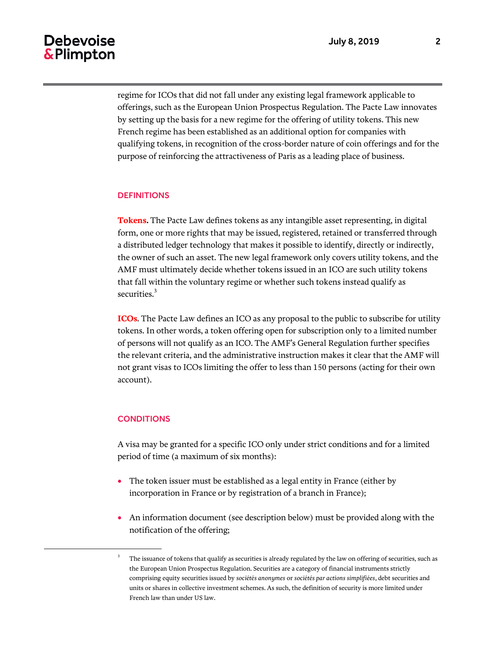regime for ICOs that did not fall under any existing legal framework applicable to offerings, such as the European Union Prospectus Regulation. The Pacte Law innovates by setting up the basis for a new regime for the offering of utility tokens. This new French regime has been established as an additional option for companies with qualifying tokens, in recognition of the cross-border nature of coin offerings and for the purpose of reinforcing the attractiveness of Paris as a leading place of business.

## **DEFINITIONS**

**Tokens.** The Pacte Law defines tokens as any intangible asset representing, in digital form, one or more rights that may be issued, registered, retained or transferred through a distributed ledger technology that makes it possible to identify, directly or indirectly, the owner of such an asset. The new legal framework only covers utility tokens, and the AMF must ultimately decide whether tokens issued in an ICO are such utility tokens that fall within the voluntary regime or whether such tokens instead qualify as securities.<sup>3</sup>

**ICOs**. The Pacte Law defines an ICO as any proposal to the public to subscribe for utility tokens. In other words, a token offering open for subscription only to a limited number of persons will not qualify as an ICO. The AMF's General Regulation further specifies the relevant criteria, and the administrative instruction makes it clear that the AMF will not grant visas to ICOs limiting the offer to less than 150 persons (acting for their own account).

## **CONDITIONS**

l

A visa may be granted for a specific ICO only under strict conditions and for a limited period of time (a maximum of six months):

- The token issuer must be established as a legal entity in France (either by incorporation in France or by registration of a branch in France);
- An information document (see description below) must be provided along with the notification of the offering;

<sup>3</sup> The issuance of tokens that qualify as securities is already regulated by the law on offering of securities, such as the European Union Prospectus Regulation. Securities are a category of financial instruments strictly comprising equity securities issued by *sociétés anonymes* or *sociétés par actions simplifiées*, debt securities and units or shares in collective investment schemes. As such, the definition of security is more limited under French law than under US law.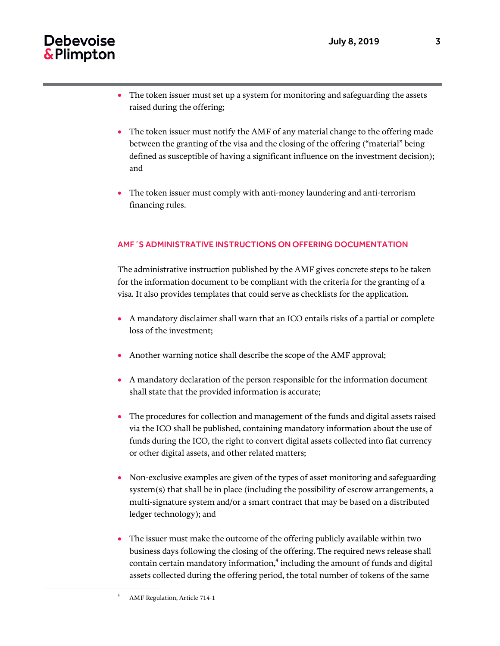- The token issuer must set up a system for monitoring and safeguarding the assets raised during the offering;
- The token issuer must notify the AMF of any material change to the offering made between the granting of the visa and the closing of the offering ("material" being defined as susceptible of having a significant influence on the investment decision); and
- The token issuer must comply with anti-money laundering and anti-terrorism financing rules.

## AMF´S ADMINISTRATIVE INSTRUCTIONS ON OFFERING DOCUMENTATION

The administrative instruction published by the AMF gives concrete steps to be taken for the information document to be compliant with the criteria for the granting of a visa. It also provides templates that could serve as checklists for the application.

- A mandatory disclaimer shall warn that an ICO entails risks of a partial or complete loss of the investment;
- Another warning notice shall describe the scope of the AMF approval;
- A mandatory declaration of the person responsible for the information document shall state that the provided information is accurate;
- The procedures for collection and management of the funds and digital assets raised via the ICO shall be published, containing mandatory information about the use of funds during the ICO, the right to convert digital assets collected into fiat currency or other digital assets, and other related matters;
- Non-exclusive examples are given of the types of asset monitoring and safeguarding system(s) that shall be in place (including the possibility of escrow arrangements, a multi-signature system and/or a smart contract that may be based on a distributed ledger technology); and
- The issuer must make the outcome of the offering publicly available within two business days following the closing of the offering. The required news release shall contain certain mandatory information, $^4$  including the amount of funds and digital assets collected during the offering period, the total number of tokens of the same

 $\overline{a}$ 

<sup>4</sup> AMF Regulation, Article 714-1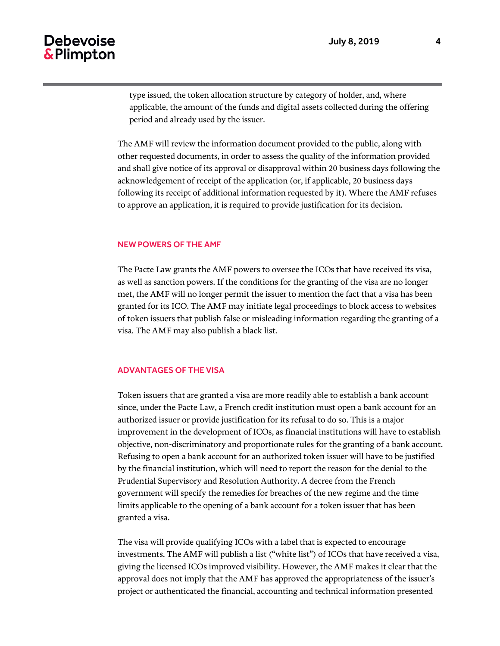type issued, the token allocation structure by category of holder, and, where applicable, the amount of the funds and digital assets collected during the offering period and already used by the issuer.

The AMF will review the information document provided to the public, along with other requested documents, in order to assess the quality of the information provided and shall give notice of its approval or disapproval within 20 business days following the acknowledgement of receipt of the application (or, if applicable, 20 business days following its receipt of additional information requested by it). Where the AMF refuses to approve an application, it is required to provide justification for its decision.

### NEW POWERS OF THE AMF

The Pacte Law grants the AMF powers to oversee the ICOs that have received its visa, as well as sanction powers. If the conditions for the granting of the visa are no longer met, the AMF will no longer permit the issuer to mention the fact that a visa has been granted for its ICO. The AMF may initiate legal proceedings to block access to websites of token issuers that publish false or misleading information regarding the granting of a visa. The AMF may also publish a black list.

## ADVANTAGES OF THE VISA

Token issuers that are granted a visa are more readily able to establish a bank account since, under the Pacte Law, a French credit institution must open a bank account for an authorized issuer or provide justification for its refusal to do so. This is a major improvement in the development of ICOs, as financial institutions will have to establish objective, non-discriminatory and proportionate rules for the granting of a bank account. Refusing to open a bank account for an authorized token issuer will have to be justified by the financial institution, which will need to report the reason for the denial to the Prudential Supervisory and Resolution Authority. A decree from the French government will specify the remedies for breaches of the new regime and the time limits applicable to the opening of a bank account for a token issuer that has been granted a visa.

The visa will provide qualifying ICOs with a label that is expected to encourage investments. The AMF will publish a list ("white list") of ICOs that have received a visa, giving the licensed ICOs improved visibility. However, the AMF makes it clear that the approval does not imply that the AMF has approved the appropriateness of the issuer's project or authenticated the financial, accounting and technical information presented